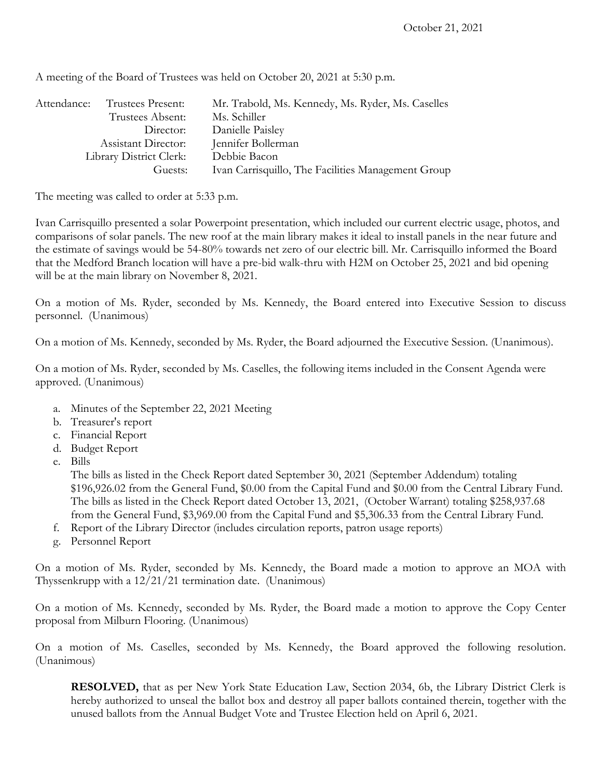| Attendance:             | Trustees Present: | Mr. Trabold, Ms. Kennedy, Ms. Ryder, Ms. Caselles  |
|-------------------------|-------------------|----------------------------------------------------|
|                         | Trustees Absent:  | Ms. Schiller                                       |
|                         | Director:         | Danielle Paisley                                   |
| Assistant Director:     |                   | Jennifer Bollerman                                 |
| Library District Clerk: |                   | Debbie Bacon                                       |
| Guests:                 |                   | Ivan Carrisquillo, The Facilities Management Group |

A meeting of the Board of Trustees was held on October 20, 2021 at 5:30 p.m.

The meeting was called to order at 5:33 p.m.

Ivan Carrisquillo presented a solar Powerpoint presentation, which included our current electric usage, photos, and comparisons of solar panels. The new roof at the main library makes it ideal to install panels in the near future and the estimate of savings would be 54-80% towards net zero of our electric bill. Mr. Carrisquillo informed the Board that the Medford Branch location will have a pre-bid walk-thru with H2M on October 25, 2021 and bid opening will be at the main library on November 8, 2021.

On a motion of Ms. Ryder, seconded by Ms. Kennedy, the Board entered into Executive Session to discuss personnel. (Unanimous)

On a motion of Ms. Kennedy, seconded by Ms. Ryder, the Board adjourned the Executive Session. (Unanimous).

On a motion of Ms. Ryder, seconded by Ms. Caselles, the following items included in the Consent Agenda were approved. (Unanimous)

- a. Minutes of the September 22, 2021 Meeting
- b. Treasurer's report
- c. Financial Report
- d. Budget Report
- e. Bills

The bills as listed in the Check Report dated September 30, 2021 (September Addendum) totaling \$196,926.02 from the General Fund, \$0.00 from the Capital Fund and \$0.00 from the Central Library Fund. The bills as listed in the Check Report dated October 13, 2021, (October Warrant) totaling \$258,937.68 from the General Fund, \$3,969.00 from the Capital Fund and \$5,306.33 from the Central Library Fund.

- f. Report of the Library Director (includes circulation reports, patron usage reports)
- g. Personnel Report

On a motion of Ms. Ryder, seconded by Ms. Kennedy, the Board made a motion to approve an MOA with Thyssenkrupp with a 12/21/21 termination date. (Unanimous)

On a motion of Ms. Kennedy, seconded by Ms. Ryder, the Board made a motion to approve the Copy Center proposal from Milburn Flooring. (Unanimous)

On a motion of Ms. Caselles, seconded by Ms. Kennedy, the Board approved the following resolution. (Unanimous)

**RESOLVED,** that as per New York State Education Law, Section 2034, 6b, the Library District Clerk is hereby authorized to unseal the ballot box and destroy all paper ballots contained therein, together with the unused ballots from the Annual Budget Vote and Trustee Election held on April 6, 2021.